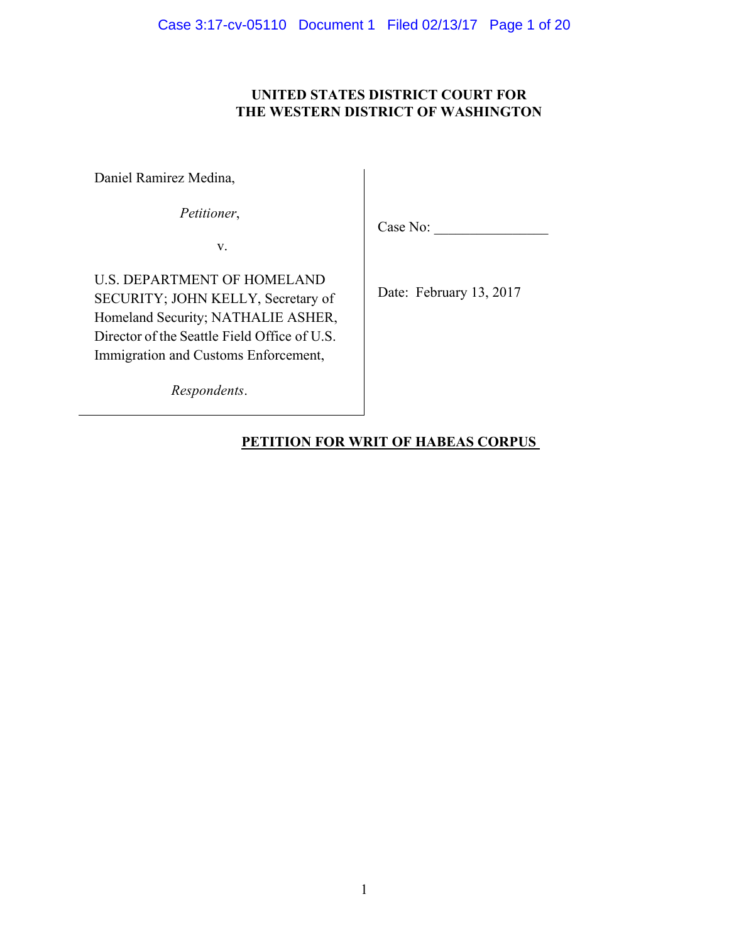# **UNITED STATES DISTRICT COURT FOR THE WESTERN DISTRICT OF WASHINGTON**

Daniel Ramirez Medina,

*Petitioner*,

v.

Case No:

U.S. DEPARTMENT OF HOMELAND SECURITY; JOHN KELLY, Secretary of Homeland Security; NATHALIE ASHER, Director of the Seattle Field Office of U.S. Immigration and Customs Enforcement,

Date: February 13, 2017

*Respondents*.

# **PETITION FOR WRIT OF HABEAS CORPUS**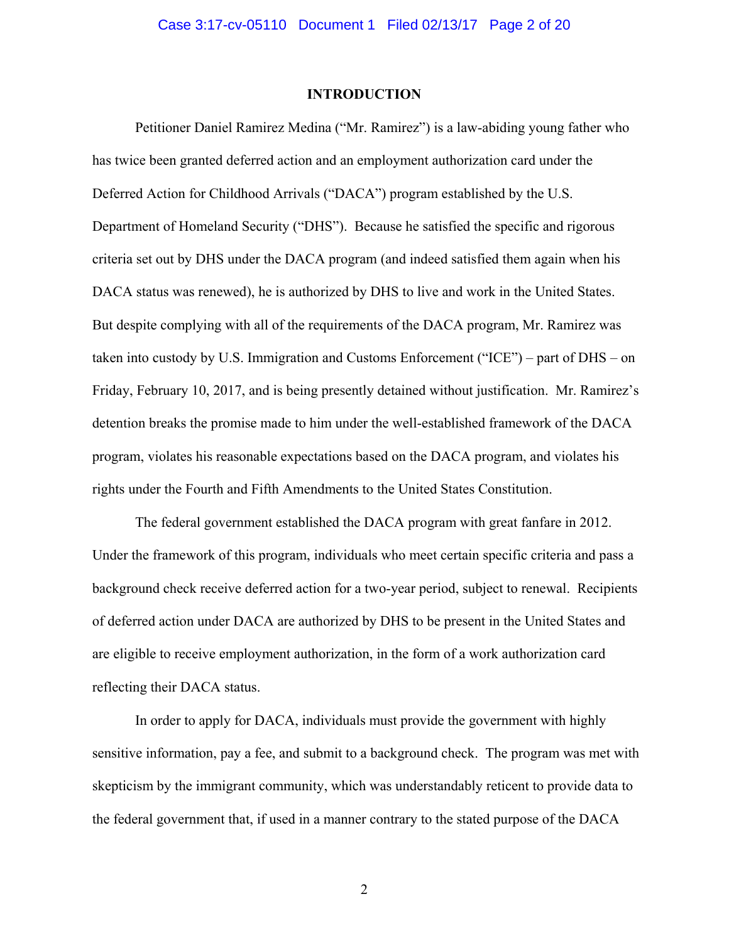#### **INTRODUCTION**

Petitioner Daniel Ramirez Medina ("Mr. Ramirez") is a law-abiding young father who has twice been granted deferred action and an employment authorization card under the Deferred Action for Childhood Arrivals ("DACA") program established by the U.S. Department of Homeland Security ("DHS"). Because he satisfied the specific and rigorous criteria set out by DHS under the DACA program (and indeed satisfied them again when his DACA status was renewed), he is authorized by DHS to live and work in the United States. But despite complying with all of the requirements of the DACA program, Mr. Ramirez was taken into custody by U.S. Immigration and Customs Enforcement ("ICE") – part of DHS – on Friday, February 10, 2017, and is being presently detained without justification. Mr. Ramirez's detention breaks the promise made to him under the well-established framework of the DACA program, violates his reasonable expectations based on the DACA program, and violates his rights under the Fourth and Fifth Amendments to the United States Constitution.

The federal government established the DACA program with great fanfare in 2012. Under the framework of this program, individuals who meet certain specific criteria and pass a background check receive deferred action for a two-year period, subject to renewal. Recipients of deferred action under DACA are authorized by DHS to be present in the United States and are eligible to receive employment authorization, in the form of a work authorization card reflecting their DACA status.

In order to apply for DACA, individuals must provide the government with highly sensitive information, pay a fee, and submit to a background check. The program was met with skepticism by the immigrant community, which was understandably reticent to provide data to the federal government that, if used in a manner contrary to the stated purpose of the DACA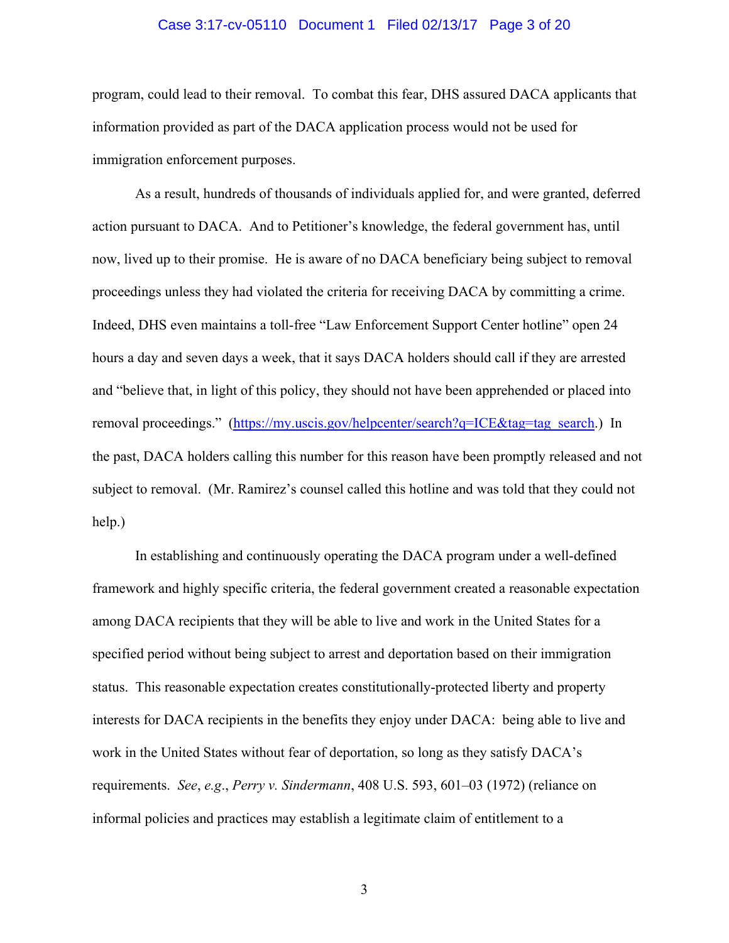#### Case 3:17-cv-05110 Document 1 Filed 02/13/17 Page 3 of 20

program, could lead to their removal. To combat this fear, DHS assured DACA applicants that information provided as part of the DACA application process would not be used for immigration enforcement purposes.

As a result, hundreds of thousands of individuals applied for, and were granted, deferred action pursuant to DACA. And to Petitioner's knowledge, the federal government has, until now, lived up to their promise. He is aware of no DACA beneficiary being subject to removal proceedings unless they had violated the criteria for receiving DACA by committing a crime. Indeed, DHS even maintains a toll-free "Law Enforcement Support Center hotline" open 24 hours a day and seven days a week, that it says DACA holders should call if they are arrested and "believe that, in light of this policy, they should not have been apprehended or placed into removal proceedings." (https://my.uscis.gov/helpcenter/search?q=ICE&tag=tag\_search.) In the past, DACA holders calling this number for this reason have been promptly released and not subject to removal. (Mr. Ramirez's counsel called this hotline and was told that they could not help.)

In establishing and continuously operating the DACA program under a well-defined framework and highly specific criteria, the federal government created a reasonable expectation among DACA recipients that they will be able to live and work in the United States for a specified period without being subject to arrest and deportation based on their immigration status. This reasonable expectation creates constitutionally-protected liberty and property interests for DACA recipients in the benefits they enjoy under DACA: being able to live and work in the United States without fear of deportation, so long as they satisfy DACA's requirements. *See*, *e.g*., *Perry v. Sindermann*, 408 U.S. 593, 601–03 (1972) (reliance on informal policies and practices may establish a legitimate claim of entitlement to a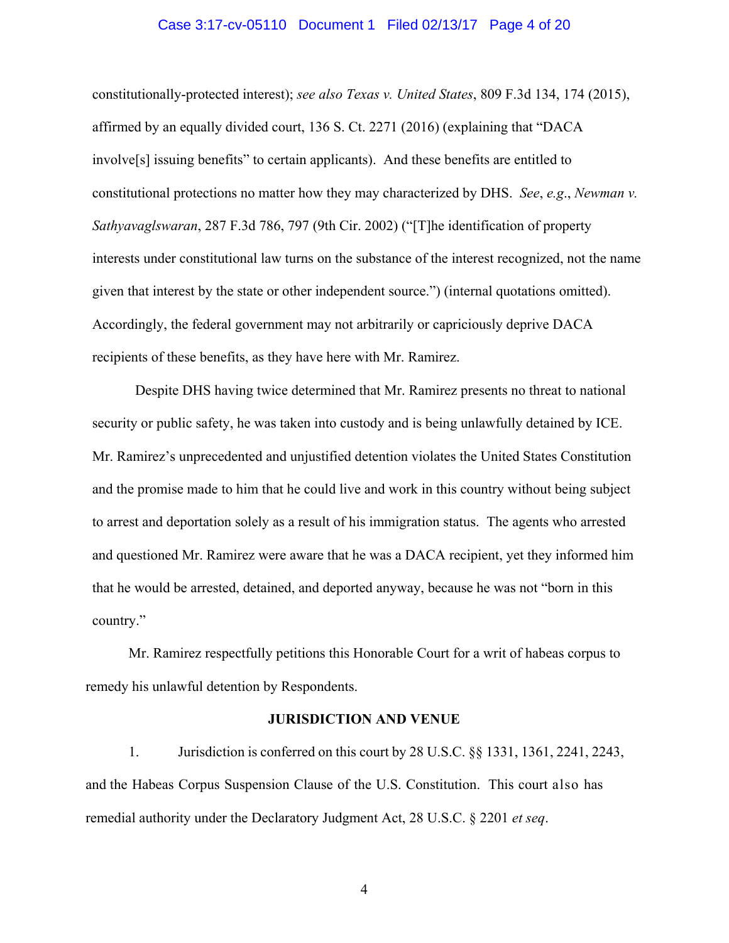#### Case 3:17-cv-05110 Document 1 Filed 02/13/17 Page 4 of 20

constitutionally-protected interest); *see also Texas v. United States*, 809 F.3d 134, 174 (2015), affirmed by an equally divided court, 136 S. Ct. 2271 (2016) (explaining that "DACA involve[s] issuing benefits" to certain applicants). And these benefits are entitled to constitutional protections no matter how they may characterized by DHS. *See*, *e.g*., *Newman v. Sathyavaglswaran*, 287 F.3d 786, 797 (9th Cir. 2002) ("[T]he identification of property interests under constitutional law turns on the substance of the interest recognized, not the name given that interest by the state or other independent source.") (internal quotations omitted). Accordingly, the federal government may not arbitrarily or capriciously deprive DACA recipients of these benefits, as they have here with Mr. Ramirez.

Despite DHS having twice determined that Mr. Ramirez presents no threat to national security or public safety, he was taken into custody and is being unlawfully detained by ICE. Mr. Ramirez's unprecedented and unjustified detention violates the United States Constitution and the promise made to him that he could live and work in this country without being subject to arrest and deportation solely as a result of his immigration status. The agents who arrested and questioned Mr. Ramirez were aware that he was a DACA recipient, yet they informed him that he would be arrested, detained, and deported anyway, because he was not "born in this country."

Mr. Ramirez respectfully petitions this Honorable Court for a writ of habeas corpus to remedy his unlawful detention by Respondents.

#### **JURISDICTION AND VENUE**

1. Jurisdiction is conferred on this court by 28 U.S.C. §§ 1331, 1361, 2241, 2243, and the Habeas Corpus Suspension Clause of the U.S. Constitution. This court also has remedial authority under the Declaratory Judgment Act, 28 U.S.C. § 2201 *et seq*.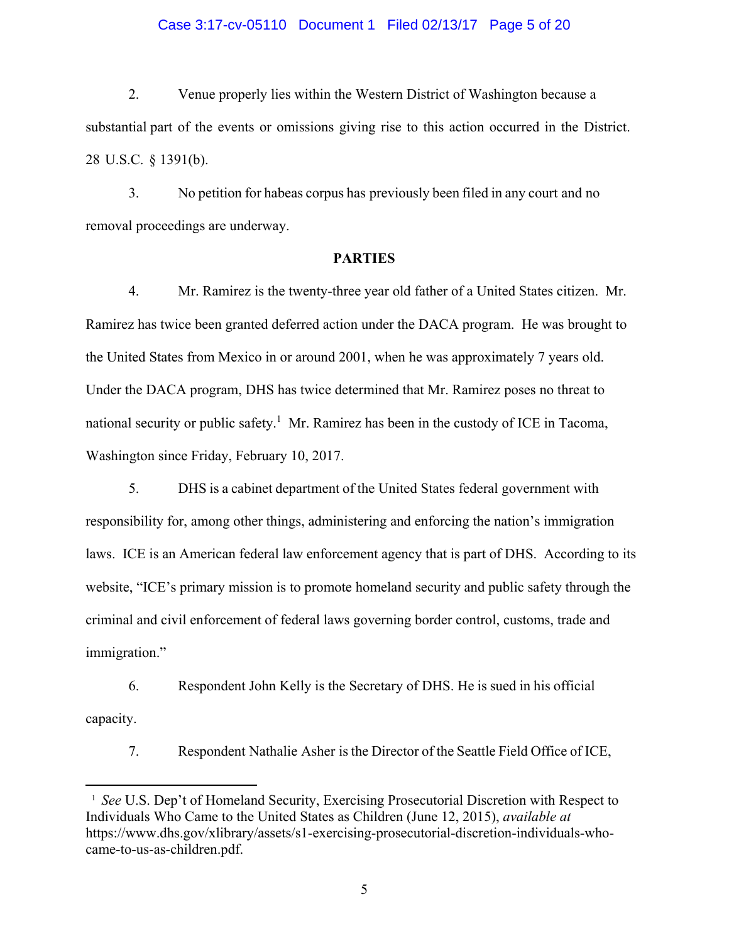#### Case 3:17-cv-05110 Document 1 Filed 02/13/17 Page 5 of 20

2. Venue properly lies within the Western District of Washington because a substantial part of the events or omissions giving rise to this action occurred in the District. 28 U.S.C. § 1391(b).

3. No petition for habeas corpus has previously been filed in any court and no removal proceedings are underway.

#### **PARTIES**

4. Mr. Ramirez is the twenty-three year old father of a United States citizen. Mr. Ramirez has twice been granted deferred action under the DACA program. He was brought to the United States from Mexico in or around 2001, when he was approximately 7 years old. Under the DACA program, DHS has twice determined that Mr. Ramirez poses no threat to national security or public safety.<sup>1</sup> Mr. Ramirez has been in the custody of ICE in Tacoma, Washington since Friday, February 10, 2017.

5. DHS is a cabinet department of the United States federal government with responsibility for, among other things, administering and enforcing the nation's immigration laws. ICE is an American federal law enforcement agency that is part of DHS. According to its website, "ICE's primary mission is to promote homeland security and public safety through the criminal and civil enforcement of federal laws governing border control, customs, trade and immigration."

6. Respondent John Kelly is the Secretary of DHS. He is sued in his official capacity.

7. Respondent Nathalie Asher is the Director of the Seattle Field Office of ICE,

<sup>&</sup>lt;sup>1</sup> See U.S. Dep't of Homeland Security, Exercising Prosecutorial Discretion with Respect to Individuals Who Came to the United States as Children (June 12, 2015), *available at*  https://www.dhs.gov/xlibrary/assets/s1-exercising-prosecutorial-discretion-individuals-whocame-to-us-as-children.pdf.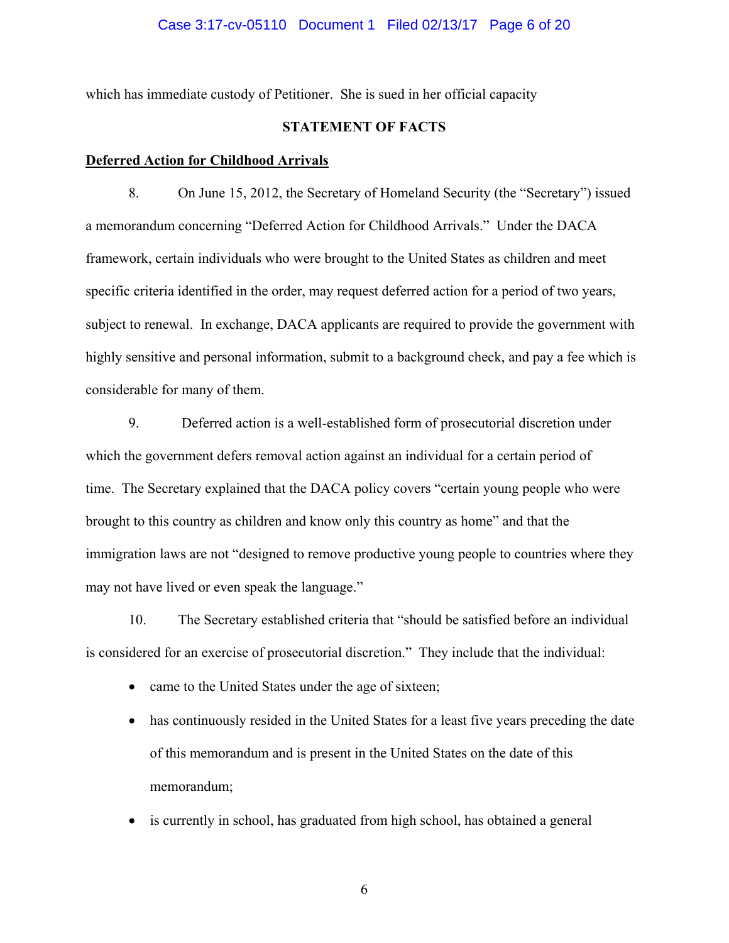#### Case 3:17-cv-05110 Document 1 Filed 02/13/17 Page 6 of 20

which has immediate custody of Petitioner. She is sued in her official capacity

# **STATEMENT OF FACTS**

#### **Deferred Action for Childhood Arrivals**

8. On June 15, 2012, the Secretary of Homeland Security (the "Secretary") issued a memorandum concerning "Deferred Action for Childhood Arrivals." Under the DACA framework, certain individuals who were brought to the United States as children and meet specific criteria identified in the order, may request deferred action for a period of two years, subject to renewal. In exchange, DACA applicants are required to provide the government with highly sensitive and personal information, submit to a background check, and pay a fee which is considerable for many of them.

9. Deferred action is a well-established form of prosecutorial discretion under which the government defers removal action against an individual for a certain period of time. The Secretary explained that the DACA policy covers "certain young people who were brought to this country as children and know only this country as home" and that the immigration laws are not "designed to remove productive young people to countries where they may not have lived or even speak the language."

10. The Secretary established criteria that "should be satisfied before an individual is considered for an exercise of prosecutorial discretion." They include that the individual:

- came to the United States under the age of sixteen;
- has continuously resided in the United States for a least five years preceding the date of this memorandum and is present in the United States on the date of this memorandum;
- is currently in school, has graduated from high school, has obtained a general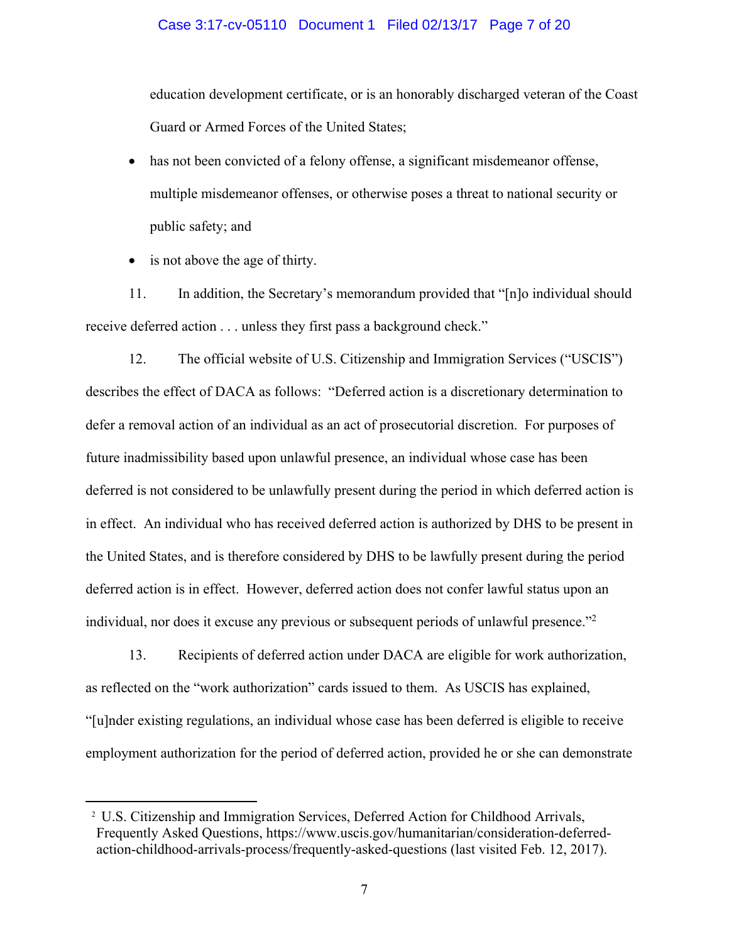#### Case 3:17-cv-05110 Document 1 Filed 02/13/17 Page 7 of 20

education development certificate, or is an honorably discharged veteran of the Coast Guard or Armed Forces of the United States;

- has not been convicted of a felony offense, a significant misdemeanor offense, multiple misdemeanor offenses, or otherwise poses a threat to national security or public safety; and
- is not above the age of thirty.

11. In addition, the Secretary's memorandum provided that "[n]o individual should receive deferred action . . . unless they first pass a background check."

12. The official website of U.S. Citizenship and Immigration Services ("USCIS") describes the effect of DACA as follows: "Deferred action is a discretionary determination to defer a removal action of an individual as an act of prosecutorial discretion. For purposes of future inadmissibility based upon unlawful presence, an individual whose case has been deferred is not considered to be unlawfully present during the period in which deferred action is in effect. An individual who has received deferred action is authorized by DHS to be present in the United States, and is therefore considered by DHS to be lawfully present during the period deferred action is in effect. However, deferred action does not confer lawful status upon an individual, nor does it excuse any previous or subsequent periods of unlawful presence."2

13. Recipients of deferred action under DACA are eligible for work authorization, as reflected on the "work authorization" cards issued to them. As USCIS has explained, "[u]nder existing regulations, an individual whose case has been deferred is eligible to receive employment authorization for the period of deferred action, provided he or she can demonstrate

<sup>&</sup>lt;sup>2</sup> U.S. Citizenship and Immigration Services, Deferred Action for Childhood Arrivals, Frequently Asked Questions, https://www.uscis.gov/humanitarian/consideration-deferredaction-childhood-arrivals-process/frequently-asked-questions (last visited Feb. 12, 2017).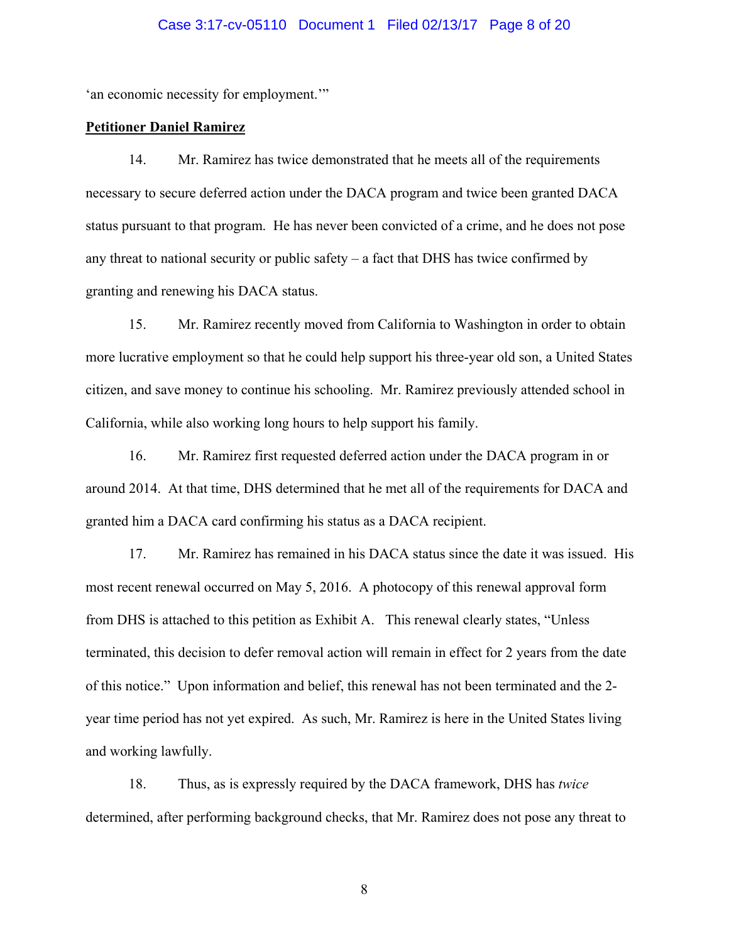#### Case 3:17-cv-05110 Document 1 Filed 02/13/17 Page 8 of 20

'an economic necessity for employment.'"

#### **Petitioner Daniel Ramirez**

14. Mr. Ramirez has twice demonstrated that he meets all of the requirements necessary to secure deferred action under the DACA program and twice been granted DACA status pursuant to that program. He has never been convicted of a crime, and he does not pose any threat to national security or public safety – a fact that DHS has twice confirmed by granting and renewing his DACA status.

15. Mr. Ramirez recently moved from California to Washington in order to obtain more lucrative employment so that he could help support his three-year old son, a United States citizen, and save money to continue his schooling. Mr. Ramirez previously attended school in California, while also working long hours to help support his family.

16. Mr. Ramirez first requested deferred action under the DACA program in or around 2014. At that time, DHS determined that he met all of the requirements for DACA and granted him a DACA card confirming his status as a DACA recipient.

17. Mr. Ramirez has remained in his DACA status since the date it was issued. His most recent renewal occurred on May 5, 2016. A photocopy of this renewal approval form from DHS is attached to this petition as Exhibit A. This renewal clearly states, "Unless terminated, this decision to defer removal action will remain in effect for 2 years from the date of this notice." Upon information and belief, this renewal has not been terminated and the 2 year time period has not yet expired. As such, Mr. Ramirez is here in the United States living and working lawfully.

18. Thus, as is expressly required by the DACA framework, DHS has *twice* determined, after performing background checks, that Mr. Ramirez does not pose any threat to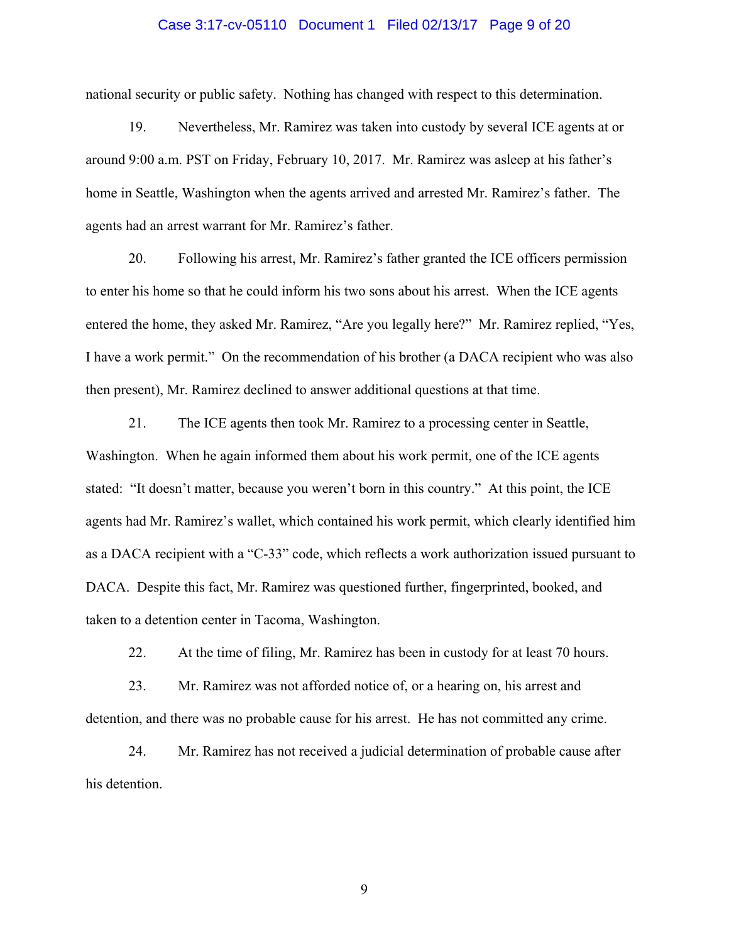#### Case 3:17-cv-05110 Document 1 Filed 02/13/17 Page 9 of 20

national security or public safety. Nothing has changed with respect to this determination.

19. Nevertheless, Mr. Ramirez was taken into custody by several ICE agents at or around 9:00 a.m. PST on Friday, February 10, 2017. Mr. Ramirez was asleep at his father's home in Seattle, Washington when the agents arrived and arrested Mr. Ramirez's father. The agents had an arrest warrant for Mr. Ramirez's father.

20. Following his arrest, Mr. Ramirez's father granted the ICE officers permission to enter his home so that he could inform his two sons about his arrest. When the ICE agents entered the home, they asked Mr. Ramirez, "Are you legally here?" Mr. Ramirez replied, "Yes, I have a work permit." On the recommendation of his brother (a DACA recipient who was also then present), Mr. Ramirez declined to answer additional questions at that time.

21. The ICE agents then took Mr. Ramirez to a processing center in Seattle, Washington. When he again informed them about his work permit, one of the ICE agents stated: "It doesn't matter, because you weren't born in this country." At this point, the ICE agents had Mr. Ramirez's wallet, which contained his work permit, which clearly identified him as a DACA recipient with a "C-33" code, which reflects a work authorization issued pursuant to DACA. Despite this fact, Mr. Ramirez was questioned further, fingerprinted, booked, and taken to a detention center in Tacoma, Washington.

22. At the time of filing, Mr. Ramirez has been in custody for at least 70 hours.

23. Mr. Ramirez was not afforded notice of, or a hearing on, his arrest and detention, and there was no probable cause for his arrest. He has not committed any crime.

24. Mr. Ramirez has not received a judicial determination of probable cause after his detention.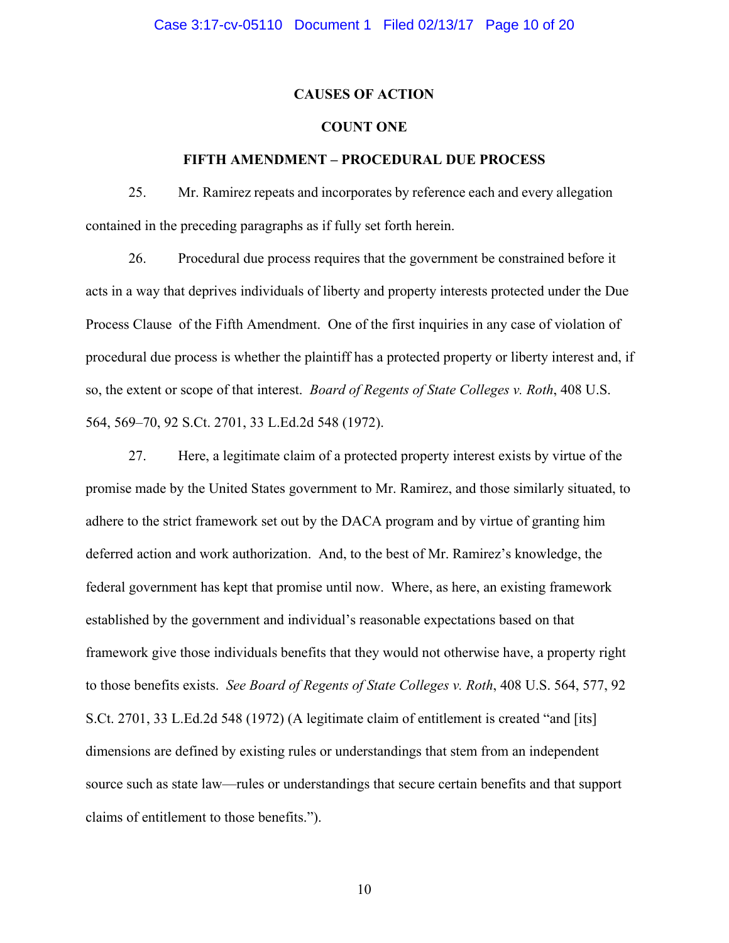### **CAUSES OF ACTION**

# **COUNT ONE**

#### **FIFTH AMENDMENT – PROCEDURAL DUE PROCESS**

25. Mr. Ramirez repeats and incorporates by reference each and every allegation contained in the preceding paragraphs as if fully set forth herein.

26. Procedural due process requires that the government be constrained before it acts in a way that deprives individuals of liberty and property interests protected under the Due Process Clause of the Fifth Amendment. One of the first inquiries in any case of violation of procedural due process is whether the plaintiff has a protected property or liberty interest and, if so, the extent or scope of that interest. *Board of Regents of State Colleges v. Roth*, 408 U.S. 564, 569–70, 92 S.Ct. 2701, 33 L.Ed.2d 548 (1972).

27. Here, a legitimate claim of a protected property interest exists by virtue of the promise made by the United States government to Mr. Ramirez, and those similarly situated, to adhere to the strict framework set out by the DACA program and by virtue of granting him deferred action and work authorization. And, to the best of Mr. Ramirez's knowledge, the federal government has kept that promise until now. Where, as here, an existing framework established by the government and individual's reasonable expectations based on that framework give those individuals benefits that they would not otherwise have, a property right to those benefits exists. *See Board of Regents of State Colleges v. Roth*, 408 U.S. 564, 577, 92 S.Ct. 2701, 33 L.Ed.2d 548 (1972) (A legitimate claim of entitlement is created "and [its] dimensions are defined by existing rules or understandings that stem from an independent source such as state law—rules or understandings that secure certain benefits and that support claims of entitlement to those benefits.").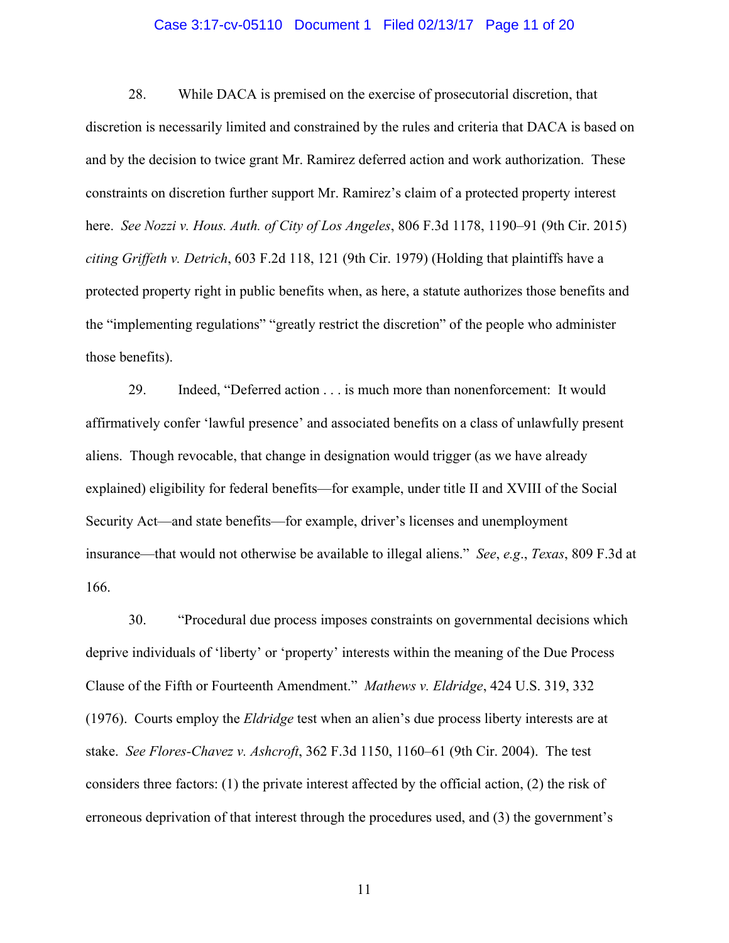#### Case 3:17-cv-05110 Document 1 Filed 02/13/17 Page 11 of 20

28. While DACA is premised on the exercise of prosecutorial discretion, that discretion is necessarily limited and constrained by the rules and criteria that DACA is based on and by the decision to twice grant Mr. Ramirez deferred action and work authorization. These constraints on discretion further support Mr. Ramirez's claim of a protected property interest here. *See Nozzi v. Hous. Auth. of City of Los Angeles*, 806 F.3d 1178, 1190–91 (9th Cir. 2015) *citing Griffeth v. Detrich*, 603 F.2d 118, 121 (9th Cir. 1979) (Holding that plaintiffs have a protected property right in public benefits when, as here, a statute authorizes those benefits and the "implementing regulations" "greatly restrict the discretion" of the people who administer those benefits).

29. Indeed, "Deferred action . . . is much more than nonenforcement: It would affirmatively confer 'lawful presence' and associated benefits on a class of unlawfully present aliens. Though revocable, that change in designation would trigger (as we have already explained) eligibility for federal benefits—for example, under title II and XVIII of the Social Security Act—and state benefits—for example, driver's licenses and unemployment insurance—that would not otherwise be available to illegal aliens." *See*, *e.g*., *Texas*, 809 F.3d at 166.

30. "Procedural due process imposes constraints on governmental decisions which deprive individuals of 'liberty' or 'property' interests within the meaning of the Due Process Clause of the Fifth or Fourteenth Amendment." *Mathews v. Eldridge*, 424 U.S. 319, 332 (1976). Courts employ the *Eldridge* test when an alien's due process liberty interests are at stake. *See Flores-Chavez v. Ashcroft*, 362 F.3d 1150, 1160–61 (9th Cir. 2004). The test considers three factors: (1) the private interest affected by the official action, (2) the risk of erroneous deprivation of that interest through the procedures used, and (3) the government's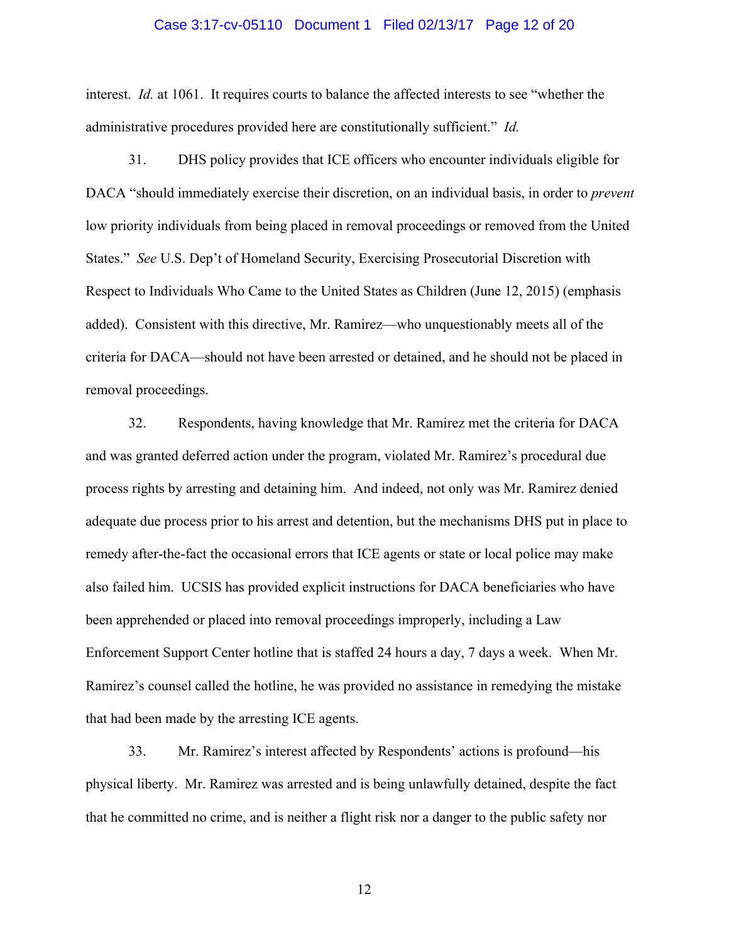#### Case 3:17-cv-05110 Document 1 Filed 02/13/17 Page 12 of 20

interest. *Id.* at 1061. It requires courts to balance the affected interests to see "whether the administrative procedures provided here are constitutionally sufficient." *Id.*

31. DHS policy provides that ICE officers who encounter individuals eligible for DACA "should immediately exercise their discretion, on an individual basis, in order to *prevent* low priority individuals from being placed in removal proceedings or removed from the United States." *See* U.S. Dep't of Homeland Security, Exercising Prosecutorial Discretion with Respect to Individuals Who Came to the United States as Children (June 12, 2015) (emphasis added). Consistent with this directive, Mr. Ramirez—who unquestionably meets all of the criteria for DACA—should not have been arrested or detained, and he should not be placed in removal proceedings.

32. Respondents, having knowledge that Mr. Ramirez met the criteria for DACA and was granted deferred action under the program, violated Mr. Ramirez's procedural due process rights by arresting and detaining him. And indeed, not only was Mr. Ramirez denied adequate due process prior to his arrest and detention, but the mechanisms DHS put in place to remedy after-the-fact the occasional errors that ICE agents or state or local police may make also failed him. UCSIS has provided explicit instructions for DACA beneficiaries who have been apprehended or placed into removal proceedings improperly, including a Law Enforcement Support Center hotline that is staffed 24 hours a day, 7 days a week. When Mr. Ramirez's counsel called the hotline, he was provided no assistance in remedying the mistake that had been made by the arresting ICE agents.

33. Mr. Ramirez's interest affected by Respondents' actions is profound—his physical liberty. Mr. Ramirez was arrested and is being unlawfully detained, despite the fact that he committed no crime, and is neither a flight risk nor a danger to the public safety nor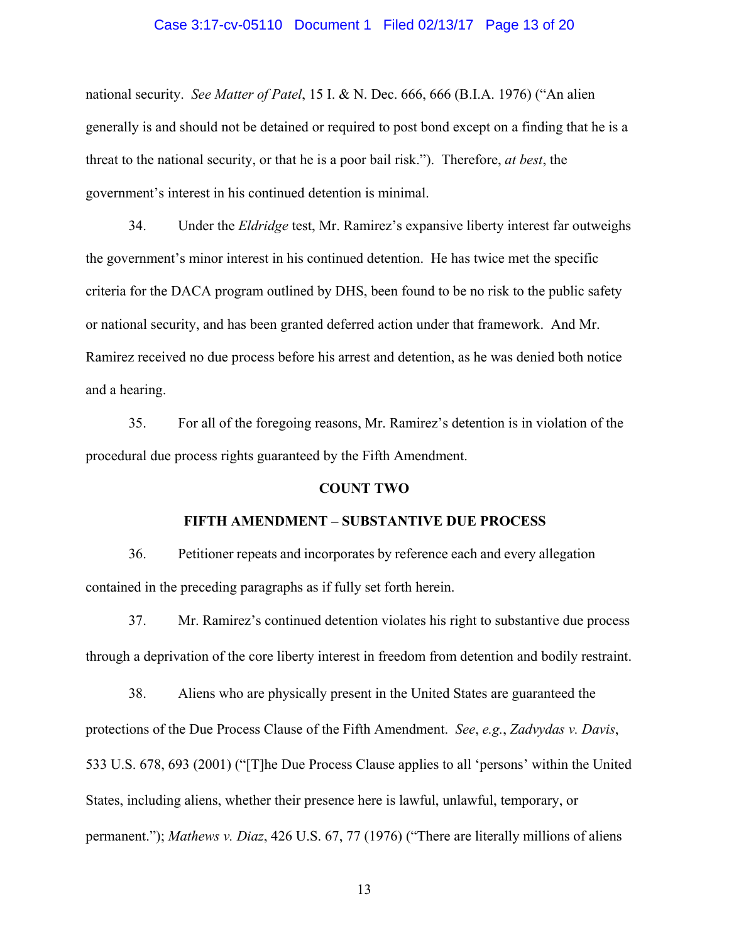#### Case 3:17-cv-05110 Document 1 Filed 02/13/17 Page 13 of 20

national security. *See Matter of Patel*, 15 I. & N. Dec. 666, 666 (B.I.A. 1976) ("An alien generally is and should not be detained or required to post bond except on a finding that he is a threat to the national security, or that he is a poor bail risk."). Therefore, *at best*, the government's interest in his continued detention is minimal.

34. Under the *Eldridge* test, Mr. Ramirez's expansive liberty interest far outweighs the government's minor interest in his continued detention. He has twice met the specific criteria for the DACA program outlined by DHS, been found to be no risk to the public safety or national security, and has been granted deferred action under that framework. And Mr. Ramirez received no due process before his arrest and detention, as he was denied both notice and a hearing.

35. For all of the foregoing reasons, Mr. Ramirez's detention is in violation of the procedural due process rights guaranteed by the Fifth Amendment.

#### **COUNT TWO**

#### **FIFTH AMENDMENT – SUBSTANTIVE DUE PROCESS**

36. Petitioner repeats and incorporates by reference each and every allegation contained in the preceding paragraphs as if fully set forth herein.

37. Mr. Ramirez's continued detention violates his right to substantive due process through a deprivation of the core liberty interest in freedom from detention and bodily restraint.

38. Aliens who are physically present in the United States are guaranteed the protections of the Due Process Clause of the Fifth Amendment. *See*, *e.g.*, *Zadvydas v. Davis*, 533 U.S. 678, 693 (2001) ("[T]he Due Process Clause applies to all 'persons' within the United States, including aliens, whether their presence here is lawful, unlawful, temporary, or permanent."); *Mathews v. Diaz*, 426 U.S. 67, 77 (1976) ("There are literally millions of aliens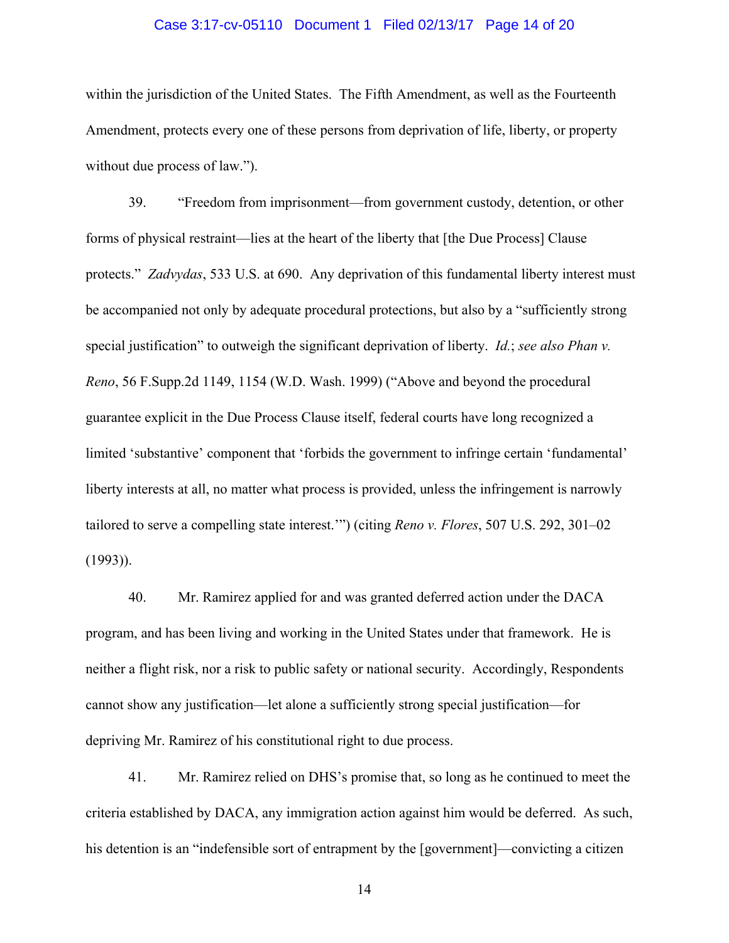#### Case 3:17-cv-05110 Document 1 Filed 02/13/17 Page 14 of 20

within the jurisdiction of the United States. The Fifth Amendment, as well as the Fourteenth Amendment, protects every one of these persons from deprivation of life, liberty, or property without due process of law.").

39. "Freedom from imprisonment—from government custody, detention, or other forms of physical restraint—lies at the heart of the liberty that [the Due Process] Clause protects." *Zadvydas*, 533 U.S. at 690. Any deprivation of this fundamental liberty interest must be accompanied not only by adequate procedural protections, but also by a "sufficiently strong special justification" to outweigh the significant deprivation of liberty. *Id.*; *see also Phan v. Reno*, 56 F.Supp.2d 1149, 1154 (W.D. Wash. 1999) ("Above and beyond the procedural guarantee explicit in the Due Process Clause itself, federal courts have long recognized a limited 'substantive' component that 'forbids the government to infringe certain 'fundamental' liberty interests at all, no matter what process is provided, unless the infringement is narrowly tailored to serve a compelling state interest.'") (citing *Reno v. Flores*, 507 U.S. 292, 301–02 (1993)).

40. Mr. Ramirez applied for and was granted deferred action under the DACA program, and has been living and working in the United States under that framework. He is neither a flight risk, nor a risk to public safety or national security. Accordingly, Respondents cannot show any justification—let alone a sufficiently strong special justification—for depriving Mr. Ramirez of his constitutional right to due process.

41. Mr. Ramirez relied on DHS's promise that, so long as he continued to meet the criteria established by DACA, any immigration action against him would be deferred. As such, his detention is an "indefensible sort of entrapment by the [government]—convicting a citizen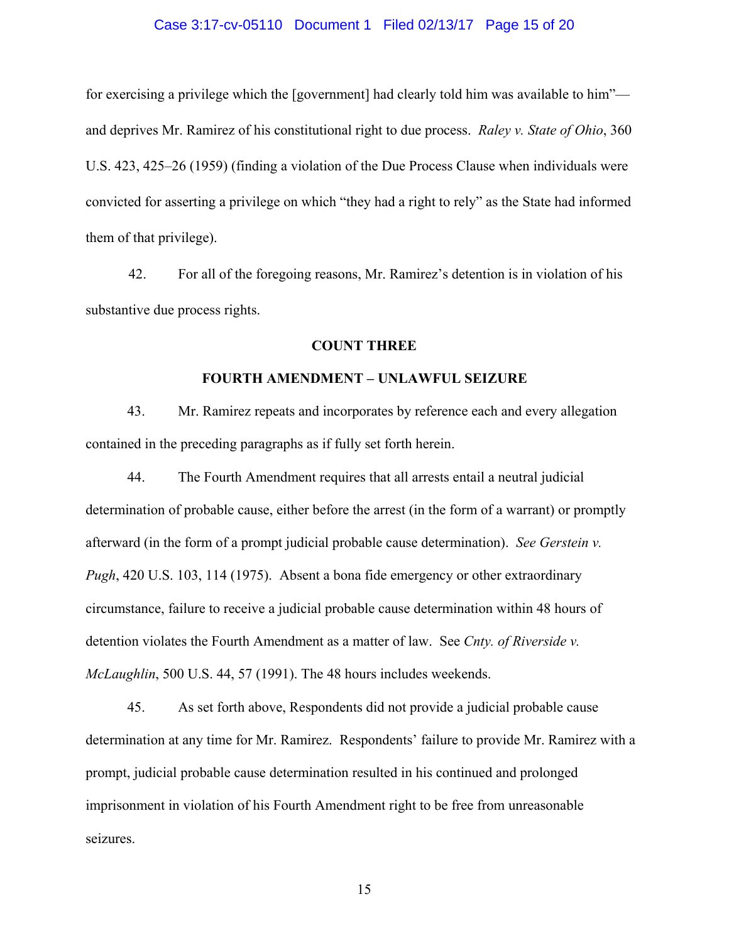#### Case 3:17-cv-05110 Document 1 Filed 02/13/17 Page 15 of 20

for exercising a privilege which the [government] had clearly told him was available to him" and deprives Mr. Ramirez of his constitutional right to due process. *Raley v. State of Ohio*, 360 U.S. 423, 425–26 (1959) (finding a violation of the Due Process Clause when individuals were convicted for asserting a privilege on which "they had a right to rely" as the State had informed them of that privilege).

42. For all of the foregoing reasons, Mr. Ramirez's detention is in violation of his substantive due process rights.

#### **COUNT THREE**

#### **FOURTH AMENDMENT – UNLAWFUL SEIZURE**

43. Mr. Ramirez repeats and incorporates by reference each and every allegation contained in the preceding paragraphs as if fully set forth herein.

44. The Fourth Amendment requires that all arrests entail a neutral judicial determination of probable cause, either before the arrest (in the form of a warrant) or promptly afterward (in the form of a prompt judicial probable cause determination). *See Gerstein v. Pugh*, 420 U.S. 103, 114 (1975). Absent a bona fide emergency or other extraordinary circumstance, failure to receive a judicial probable cause determination within 48 hours of detention violates the Fourth Amendment as a matter of law. See *Cnty. of Riverside v. McLaughlin*, 500 U.S. 44, 57 (1991). The 48 hours includes weekends.

45. As set forth above, Respondents did not provide a judicial probable cause determination at any time for Mr. Ramirez. Respondents' failure to provide Mr. Ramirez with a prompt, judicial probable cause determination resulted in his continued and prolonged imprisonment in violation of his Fourth Amendment right to be free from unreasonable seizures.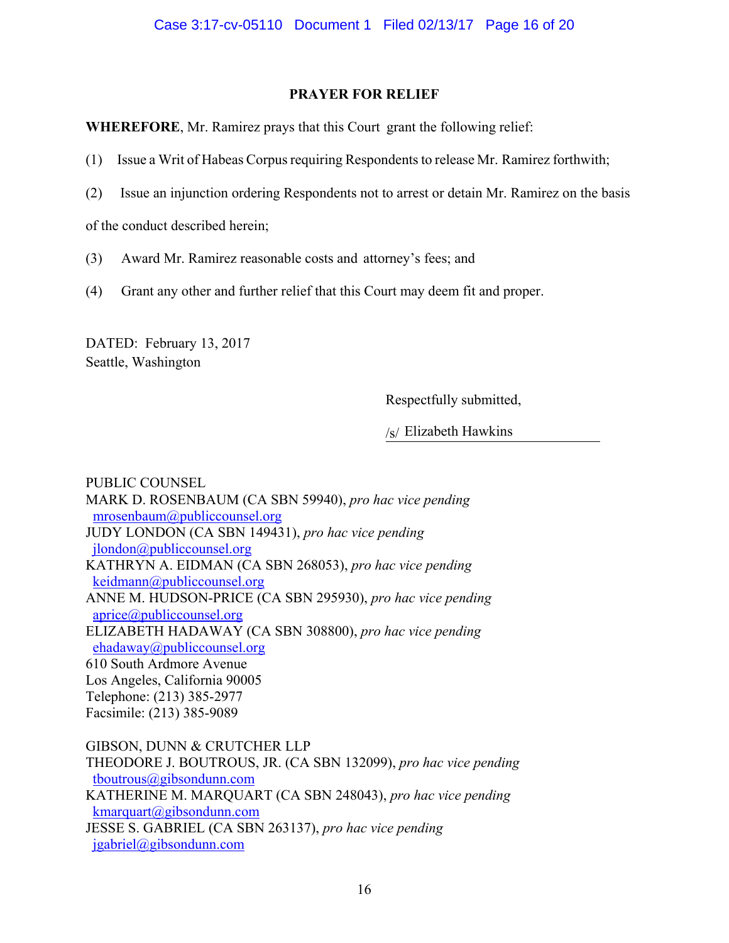# **PRAYER FOR RELIEF**

**WHEREFORE**, Mr. Ramirez prays that this Court grant the following relief:

- (1) Issue a Writ of Habeas Corpus requiring Respondents to release Mr. Ramirez forthwith;
- (2) Issue an injunction ordering Respondents not to arrest or detain Mr. Ramirez on the basis

of the conduct described herein;

- (3) Award Mr. Ramirez reasonable costs and attorney's fees; and
- (4) Grant any other and further relief that this Court may deem fit and proper.

DATED: February 13, 2017 Seattle, Washington

Respectfully submitted,

/s/ Elizabeth Hawkins

PUBLIC COUNSEL MARK D. ROSENBAUM (CA SBN 59940), *pro hac vice pending*  mrosenbaum@publiccounsel.org JUDY LONDON (CA SBN 149431), *pro hac vice pending* jlondon@publiccounsel.org KATHRYN A. EIDMAN (CA SBN 268053), *pro hac vice pending* keidmann@publiccounsel.org ANNE M. HUDSON-PRICE (CA SBN 295930), *pro hac vice pending* aprice@publiccounsel.org ELIZABETH HADAWAY (CA SBN 308800), *pro hac vice pending*  ehadaway@publiccounsel.org 610 South Ardmore Avenue Los Angeles, California 90005 Telephone: (213) 385-2977 Facsimile: (213) 385-9089

GIBSON, DUNN & CRUTCHER LLP THEODORE J. BOUTROUS, JR. (CA SBN 132099), *pro hac vice pending* tboutrous@gibsondunn.com KATHERINE M. MARQUART (CA SBN 248043), *pro hac vice pending* kmarquart@gibsondunn.com JESSE S. GABRIEL (CA SBN 263137), *pro hac vice pending* jgabriel@gibsondunn.com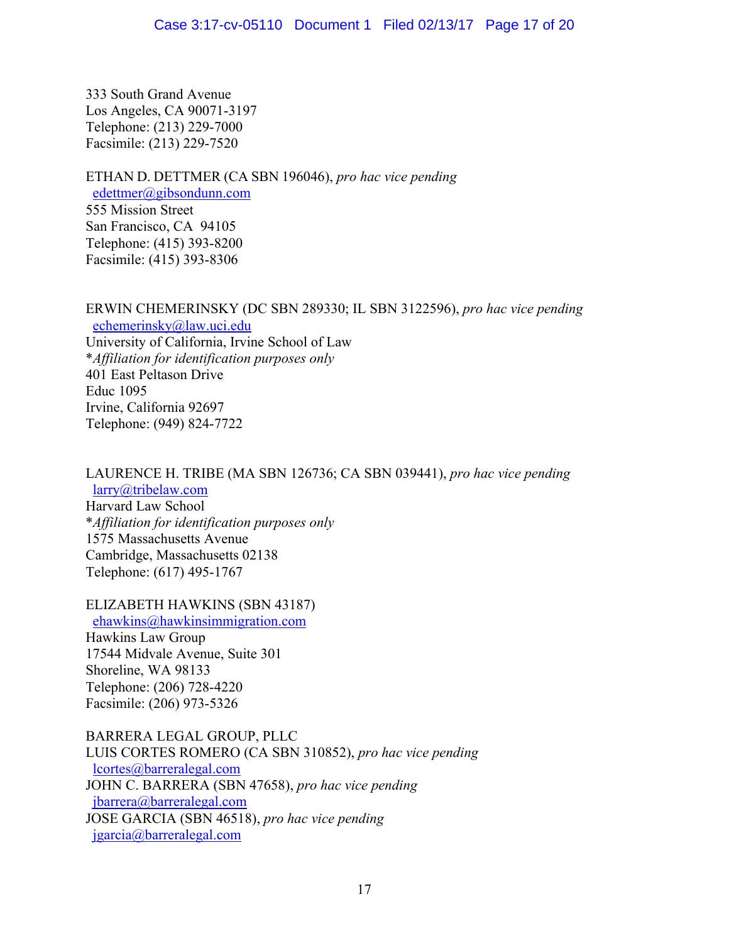333 South Grand Avenue Los Angeles, CA 90071-3197 Telephone: (213) 229-7000 Facsimile: (213) 229-7520

ETHAN D. DETTMER (CA SBN 196046), *pro hac vice pending* edettmer@gibsondunn.com 555 Mission Street San Francisco, CA 94105 Telephone: (415) 393-8200 Facsimile: (415) 393-8306

# ERWIN CHEMERINSKY (DC SBN 289330; IL SBN 3122596), *pro hac vice pending* echemerinsky@law.uci.edu

University of California, Irvine School of Law \**Affiliation for identification purposes only* 401 East Peltason Drive Educ 1095 Irvine, California 92697 Telephone: (949) 824-7722

# LAURENCE H. TRIBE (MA SBN 126736; CA SBN 039441), *pro hac vice pending*

 larry@tribelaw.com Harvard Law School \**Affiliation for identification purposes only* 1575 Massachusetts Avenue Cambridge, Massachusetts 02138 Telephone: (617) 495-1767

# ELIZABETH HAWKINS (SBN 43187)

 ehawkins@hawkinsimmigration.com Hawkins Law Group 17544 Midvale Avenue, Suite 301 Shoreline, WA 98133 Telephone: (206) 728-4220 Facsimile: (206) 973-5326

# BARRERA LEGAL GROUP, PLLC

LUIS CORTES ROMERO (CA SBN 310852), *pro hac vice pending*  lcortes@barreralegal.com JOHN C. BARRERA (SBN 47658), *pro hac vice pending*  jbarrera@barreralegal.com JOSE GARCIA (SBN 46518), *pro hac vice pending* jgarcia@barreralegal.com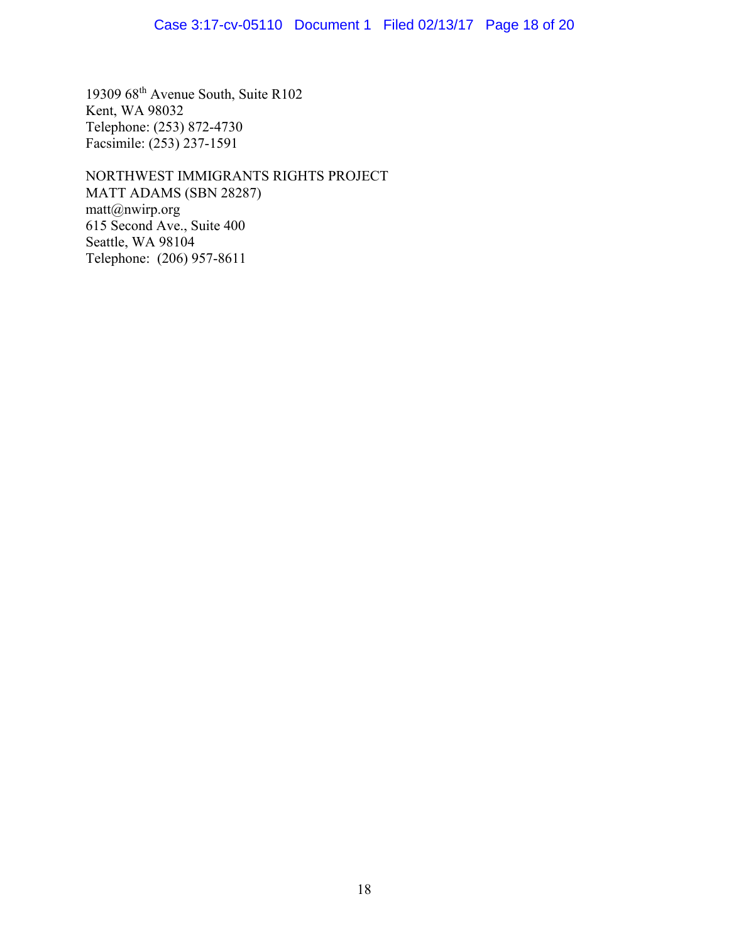# Case 3:17-cv-05110 Document 1 Filed 02/13/17 Page 18 of 20

19309 68th Avenue South, Suite R102 Kent, WA 98032 Telephone: (253) 872-4730 Facsimile: (253) 237-1591

NORTHWEST IMMIGRANTS RIGHTS PROJECT MATT ADAMS (SBN 28287) matt@nwirp.org 615 Second Ave., Suite 400 Seattle, WA 98104 Telephone: (206) 957-8611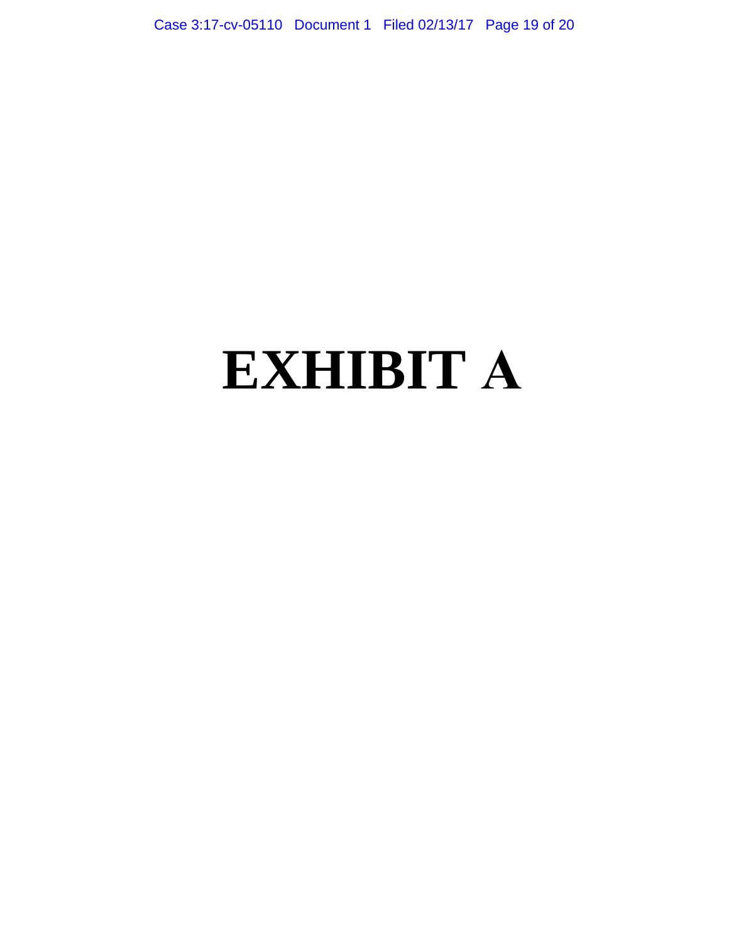Case 3:17-cv-05110 Document 1 Filed 02/13/17 Page 19 of 20

# **EXHIBIT A**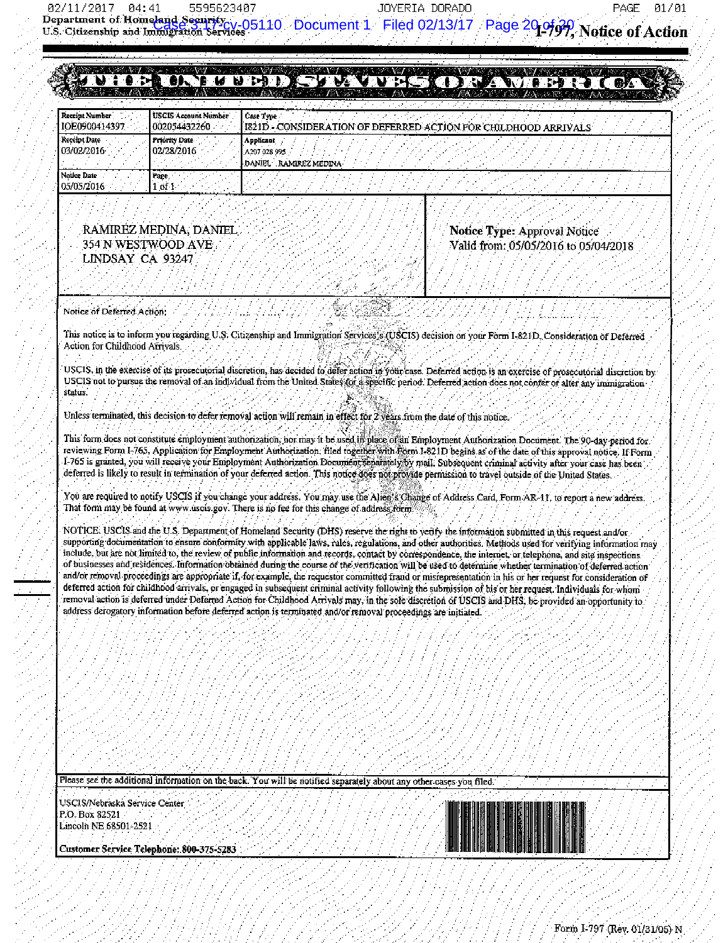JOYERIA DORADO

01/01 PAGE

#### **BEVUM ENDER FARISHI CIDER** . a.

|                                  |                                             | $-0.000$<br>————                                                              |
|----------------------------------|---------------------------------------------|-------------------------------------------------------------------------------|
| Receint Number<br>IOE0900414397  | <b>USCIS Account Number</b><br>002054432260 | Case Type<br>I1821D - CONSIDERATION OF DEFERRED ACTION FOR CHILDHOOD ARRIVALS |
| Receipt Date<br>103/02/2016      | <b>Priority Date</b><br>02/28/2016          | <b>Auplicant</b><br>A207 028 995<br><b>RAMIREZ MEDINA</b><br><b>DANIEL</b>    |
| <b>Notice Date</b><br>05/05/2016 | Page.<br>r of 1                             |                                                                               |

#### RAMIREZ MEDINA, DANIEL 354 N WESTWOOD AVE LINDSAY CA 93247

Notice Type: Approval Notice Valid from: 05/05/2016 to 05/04/2018

Notice of Deferred Action.

This notice is to inform you regarding U.S. Citizenship and Immigration Services's (USCIS) decision on your Form I-821D, Consideration of Deferred Action for Childhood Arrivals.

USCIS, in the exercise of its prosecutorial discretion, has decided to defer action in your case. Deferred action is an exercise of prosecutorial discretion by USCIS not to pursue the removal of an individual from the United States for a specific period. Deferred action does not conter or alter any immigration status.

Unless terminated, this decision to defer removal action will remain in effect for Z years from the date of this notice.

This form does not constitute employment authorization, nor may it be used in place of an Employment Authorization Document. The 90-day period for reviewing Form 1-765, Application for Employment Authorization, filed together with Form 1-821D begins as of the date of this approval notice. If Form I-765 is granted, you will receive your Employment Authorization Document separately by mail. Subsequent criminal activity after your case has been deferred is likely to result in termination of your deferred action. This notice does not provide permission to travel outside of the United States.

You are required to notify USCIS if you change your address. You may use the Alien's Change of Address Card, Form AR-11, to report a new address. That form may be found at www uscis gov. There is no fee for this change of address form

NOTICE: USCIS and the U.S. Department of Homeland Security (DHS) reserve the right to verify the information submitted in this request and/or supporting documentation to ensure conformity with applicable laws, rules, regulations, and other authorities. Methods used for verifying information may include, but are not limited to, the review of public information and records, contact by correspondence, the internet, or telephone, and site inspections of businesses and residences. Information obtained during the course of the verification will be used to determine whether termination of deferred action and/or removal proceedings are appropriate if, for example, the requestor committed fraud or misrepresentation in his or her request for consideration of deferred action for childhood arrivals, or engaged in subsequent criminal activity following the submission of his or her request. Individuals for whom removal action is deferred under Deferred Action for Childhood Atrivals may, in the sole discretion of USCIS and DHS, be provided an opportunity to address derogatory information before deferred action is terminated and/or removal proceedings are initiated.

Please see the additional information on the back. You will be notified separately about any other cases you filed.

USCIS/Nebraska Service Center P.O. Box 82521 Lincoln NE 68501-2521



Customer Service Telephone: 800-375-5283